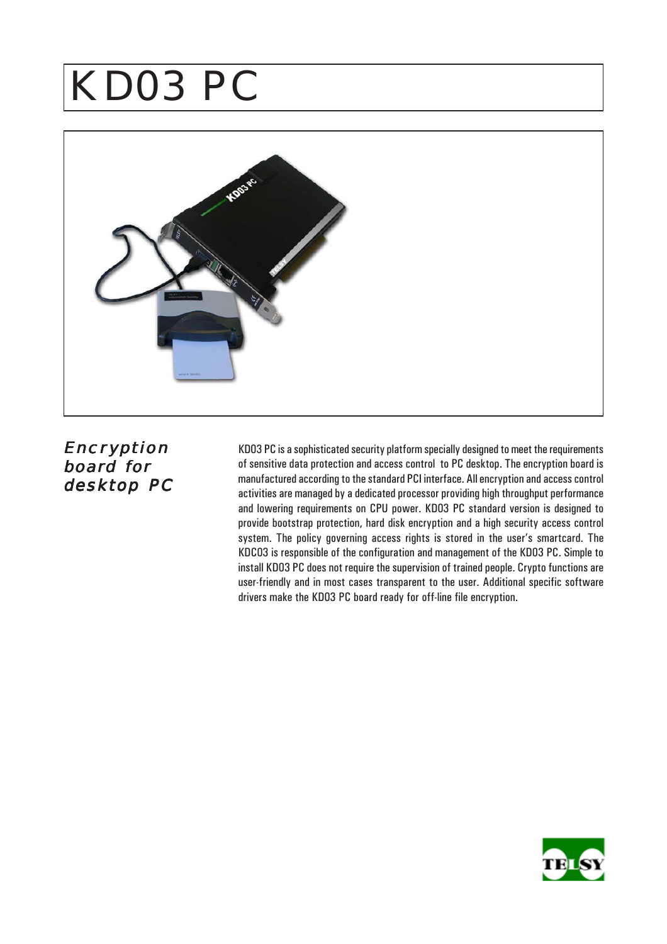# KD03 PC



**Encryption** board for desktop PC

KD03 PC is a sophisticated security platform specially designed to meet the requirements of sensitive data protection and access control to PC desktop. The encryption board is manufactured according to the standard PCI interface. All encryption and access control activities are managed by a dedicated processor providing high throughput performance and lowering requirements on CPU power. KD03 PC standard version is designed to provide bootstrap protection, hard disk encryption and a high security access control system. The policy governing access rights is stored in the user's smartcard. The KDC03 is responsible of the configuration and management of the KD03 PC. Simple to install KD03 PC does not require the supervision of trained people. Crypto functions are user-friendly and in most cases transparent to the user. Additional specific software drivers make the KD03 PC board ready for off-line file encryption.